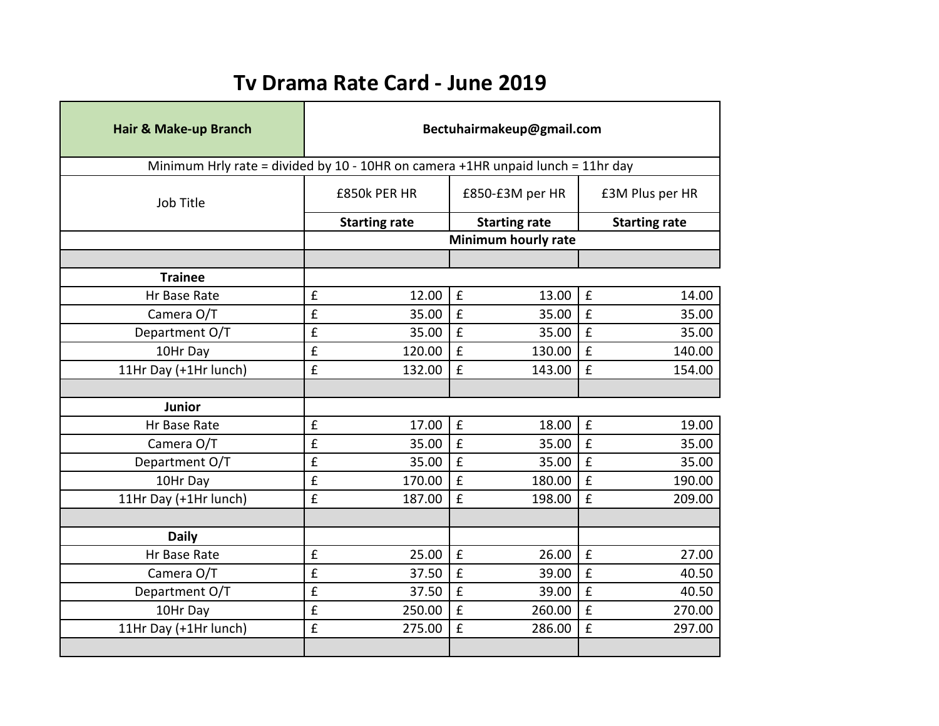## **Tv Drama Rate Card - June 2019**

| Hair & Make-up Branch                                                           | Bectuhairmakeup@gmail.com |                                              |                 |        |                             |  |  |  |  |
|---------------------------------------------------------------------------------|---------------------------|----------------------------------------------|-----------------|--------|-----------------------------|--|--|--|--|
| Minimum Hrly rate = divided by 10 - 10HR on camera +1HR unpaid lunch = 11hr day |                           |                                              |                 |        |                             |  |  |  |  |
| Job Title                                                                       | £850k PER HR              |                                              | £850-£3M per HR |        | £3M Plus per HR             |  |  |  |  |
|                                                                                 |                           | <b>Starting rate</b><br><b>Starting rate</b> |                 |        | <b>Starting rate</b>        |  |  |  |  |
|                                                                                 | Minimum hourly rate       |                                              |                 |        |                             |  |  |  |  |
|                                                                                 |                           |                                              |                 |        |                             |  |  |  |  |
| <b>Trainee</b>                                                                  |                           |                                              |                 |        |                             |  |  |  |  |
| Hr Base Rate                                                                    | £                         | 12.00                                        | £               | 13.00  | £<br>14.00                  |  |  |  |  |
| Camera O/T                                                                      | $\hat{\mathbf{f}}$        | 35.00                                        | $\mathbf f$     | 35.00  | $\mathbf f$<br>35.00        |  |  |  |  |
| Department O/T                                                                  | £                         | 35.00                                        | £               | 35.00  | $\mathbf f$<br>35.00        |  |  |  |  |
| 10Hr Day                                                                        | £                         | 120.00                                       | $\mathbf f$     | 130.00 | £<br>140.00                 |  |  |  |  |
| 11Hr Day (+1Hr lunch)                                                           | £                         | 132.00                                       | £               | 143.00 | £<br>154.00                 |  |  |  |  |
|                                                                                 |                           |                                              |                 |        |                             |  |  |  |  |
| Junior                                                                          |                           |                                              |                 |        |                             |  |  |  |  |
| Hr Base Rate                                                                    | £                         | 17.00                                        | $\mathbf f$     | 18.00  | $\pmb{\mathsf{f}}$<br>19.00 |  |  |  |  |
| Camera O/T                                                                      | $\hat{\mathbf{f}}$        | 35.00                                        | £               | 35.00  | $\mathbf{f}$<br>35.00       |  |  |  |  |
| Department O/T                                                                  | £                         | 35.00                                        | £               | 35.00  | $\pmb{\mathsf{f}}$<br>35.00 |  |  |  |  |
| 10Hr Day                                                                        | £                         | 170.00                                       | £               | 180.00 | $\mathbf{f}$<br>190.00      |  |  |  |  |
| 11Hr Day (+1Hr lunch)                                                           | $\pmb{\mathsf{f}}$        | 187.00                                       | £               | 198.00 | £<br>209.00                 |  |  |  |  |
|                                                                                 |                           |                                              |                 |        |                             |  |  |  |  |
| <b>Daily</b>                                                                    |                           |                                              |                 |        |                             |  |  |  |  |
| Hr Base Rate                                                                    | £                         | 25.00                                        | £               | 26.00  | $\mathbf f$<br>27.00        |  |  |  |  |
| Camera O/T                                                                      | $\hat{\mathbf{f}}$        | 37.50                                        | £               | 39.00  | $\mathbf f$<br>40.50        |  |  |  |  |
| Department O/T                                                                  | $\hat{\mathbf{f}}$        | 37.50                                        | $\mathbf f$     | 39.00  | $\mathbf f$<br>40.50        |  |  |  |  |
| 10Hr Day                                                                        | £                         | 250.00                                       | £               | 260.00 | £<br>270.00                 |  |  |  |  |
| 11Hr Day (+1Hr lunch)                                                           | £                         | 275.00                                       | £               | 286.00 | £<br>297.00                 |  |  |  |  |
|                                                                                 |                           |                                              |                 |        |                             |  |  |  |  |